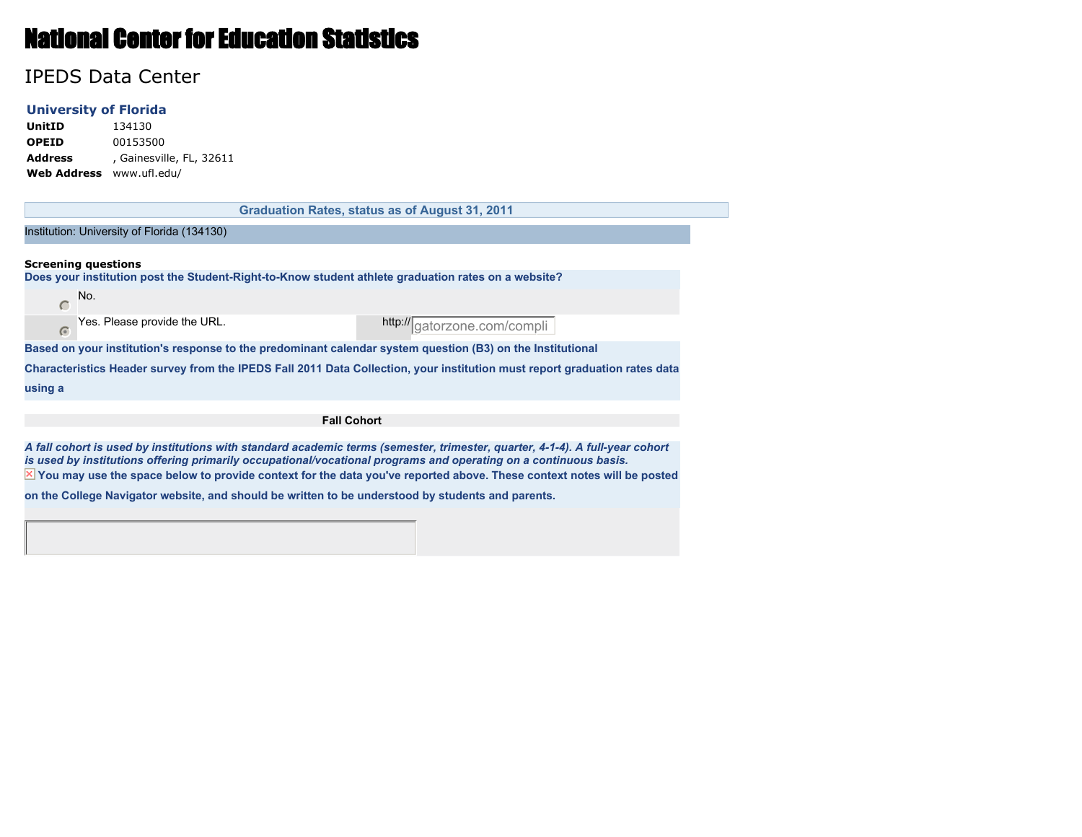# National Center for Education Statistics

## IPEDS Data Center

#### **University of Florida**

**UnitID** 134130 **OPEID** 00153500 **Address** , Gainesville, FL, 32611 **Web Address** www.ufl.edu/

|                    |                                                                                                            | <b>Graduation Rates, status as of August 31, 2011</b>                                                                      |  |  |  |  |
|--------------------|------------------------------------------------------------------------------------------------------------|----------------------------------------------------------------------------------------------------------------------------|--|--|--|--|
|                    |                                                                                                            |                                                                                                                            |  |  |  |  |
|                    | Institution: University of Florida (134130)                                                                |                                                                                                                            |  |  |  |  |
|                    |                                                                                                            |                                                                                                                            |  |  |  |  |
|                    | <b>Screening questions</b>                                                                                 |                                                                                                                            |  |  |  |  |
|                    | Does your institution post the Student-Right-to-Know student athlete graduation rates on a website?        |                                                                                                                            |  |  |  |  |
| $\subset$          | No.                                                                                                        |                                                                                                                            |  |  |  |  |
| $\sqrt{a}$         | Yes. Please provide the URL.                                                                               | http://gatorzone.com/compli                                                                                                |  |  |  |  |
|                    | Based on your institution's response to the predominant calendar system question (B3) on the Institutional |                                                                                                                            |  |  |  |  |
|                    |                                                                                                            | Characteristics Header survey from the IPEDS Fall 2011 Data Collection, your institution must report graduation rates data |  |  |  |  |
| using a            |                                                                                                            |                                                                                                                            |  |  |  |  |
| <b>Fall Cohort</b> |                                                                                                            |                                                                                                                            |  |  |  |  |
|                    |                                                                                                            |                                                                                                                            |  |  |  |  |

 $\overline{X}$  You may use the space below to provide context for the data you've reported above. These context notes will be posted *A fall cohort is used by institutions with standard academic terms (semester, trimester, quarter, 4-1-4). A full-year cohort is used by institutions offering primarily occupational/vocational programs and operating on a continuous basis.*

**on the College Navigator website, and should be written to be understood by students and parents.**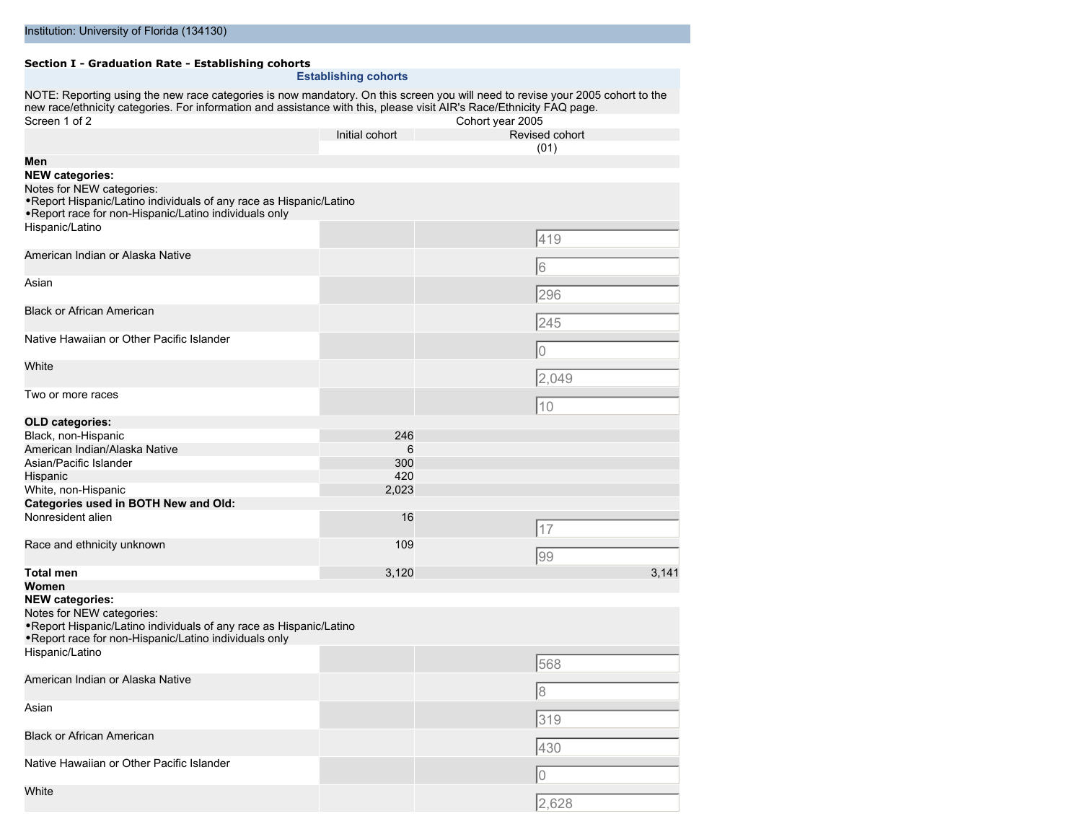#### **Section I - Graduation Rate - Establishing cohorts Establishing cohorts**

NOTE: Reporting using the new race categories is now mandatory. On this screen you will need to revise your 2005 cohort to the new race/ethnicity categories. For information and assistance with this, please visit AIR's Race/Ethnicity FAQ page. Screen 1 of 2 Cohort year 2005 Initial cohort Revised cohort

|                                                                     |       | ו ושט שטעוניונ |
|---------------------------------------------------------------------|-------|----------------|
| Men                                                                 |       | (01)           |
| <b>NEW categories:</b>                                              |       |                |
| Notes for NEW categories:                                           |       |                |
| . Report Hispanic/Latino individuals of any race as Hispanic/Latino |       |                |
| . Report race for non-Hispanic/Latino individuals only              |       |                |
| Hispanic/Latino                                                     |       |                |
|                                                                     |       | 419            |
| American Indian or Alaska Native                                    |       | 6              |
| Asian                                                               |       |                |
|                                                                     |       | 296            |
| <b>Black or African American</b>                                    |       |                |
|                                                                     |       | 245            |
| Native Hawaiian or Other Pacific Islander                           |       | l0             |
| White                                                               |       |                |
|                                                                     |       | 2,049          |
| Two or more races                                                   |       |                |
|                                                                     |       | 10             |
| OLD categories:                                                     |       |                |
| Black, non-Hispanic                                                 | 246   |                |
| American Indian/Alaska Native                                       | 6     |                |
| Asian/Pacific Islander                                              | 300   |                |
| Hispanic                                                            | 420   |                |
| White, non-Hispanic                                                 | 2,023 |                |
| Categories used in BOTH New and Old:                                |       |                |
| Nonresident alien                                                   | 16    | 17             |
|                                                                     |       |                |
| Race and ethnicity unknown                                          | 109   | 99             |
| <b>Total men</b>                                                    | 3,120 | 3,141          |
| Women                                                               |       |                |
| <b>NEW categories:</b>                                              |       |                |
| Notes for NEW categories:                                           |       |                |
| . Report Hispanic/Latino individuals of any race as Hispanic/Latino |       |                |
| . Report race for non-Hispanic/Latino individuals only              |       |                |
| Hispanic/Latino                                                     |       | 568            |
| American Indian or Alaska Native                                    |       |                |
|                                                                     |       | 18             |
| Asian                                                               |       | 319            |
| <b>Black or African American</b>                                    |       |                |
|                                                                     |       | 430            |
| Native Hawaiian or Other Pacific Islander                           |       |                |
|                                                                     |       | 0              |
| White                                                               |       |                |
|                                                                     |       | 2,628          |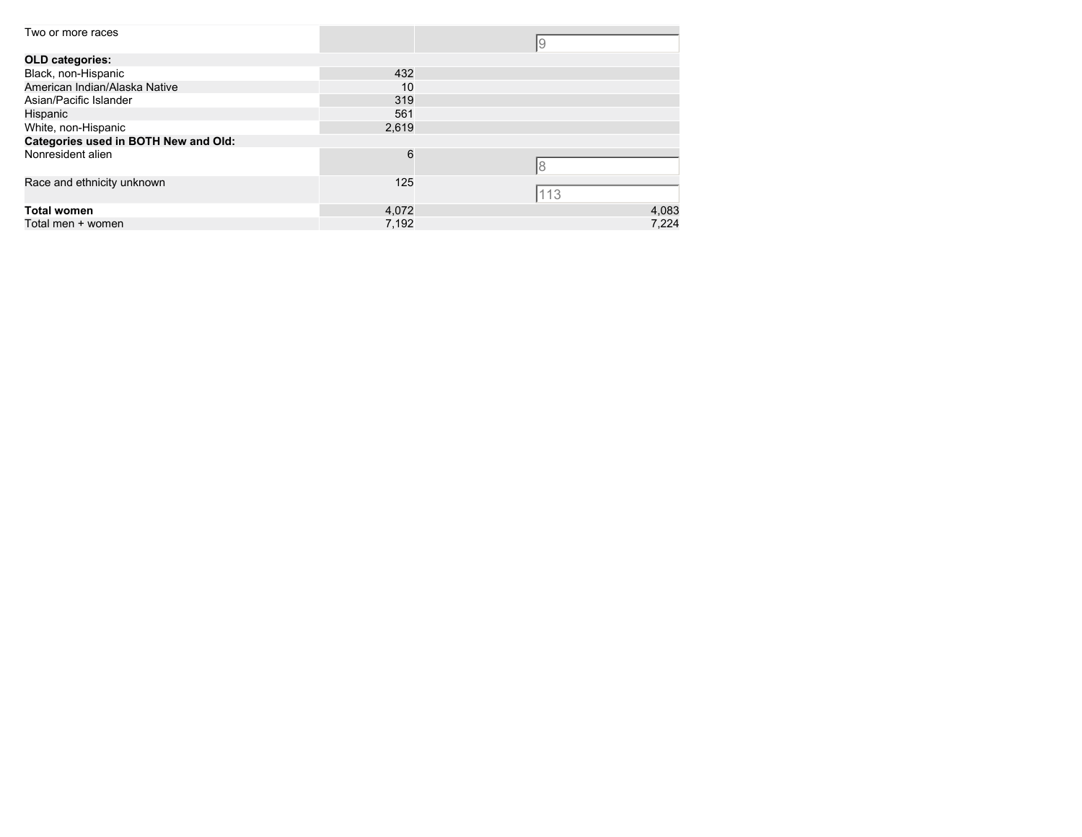| Two or more races                    |       | 19    |
|--------------------------------------|-------|-------|
| <b>OLD categories:</b>               |       |       |
| Black, non-Hispanic                  | 432   |       |
| American Indian/Alaska Native        | 10    |       |
| Asian/Pacific Islander               | 319   |       |
| Hispanic                             | 561   |       |
| White, non-Hispanic                  | 2,619 |       |
| Categories used in BOTH New and Old: |       |       |
| Nonresident alien                    | 6     | 18    |
| Race and ethnicity unknown           | 125   | 113   |
| <b>Total women</b>                   | 4,072 | 4,083 |
| Total men + women                    | 7.192 | 7.224 |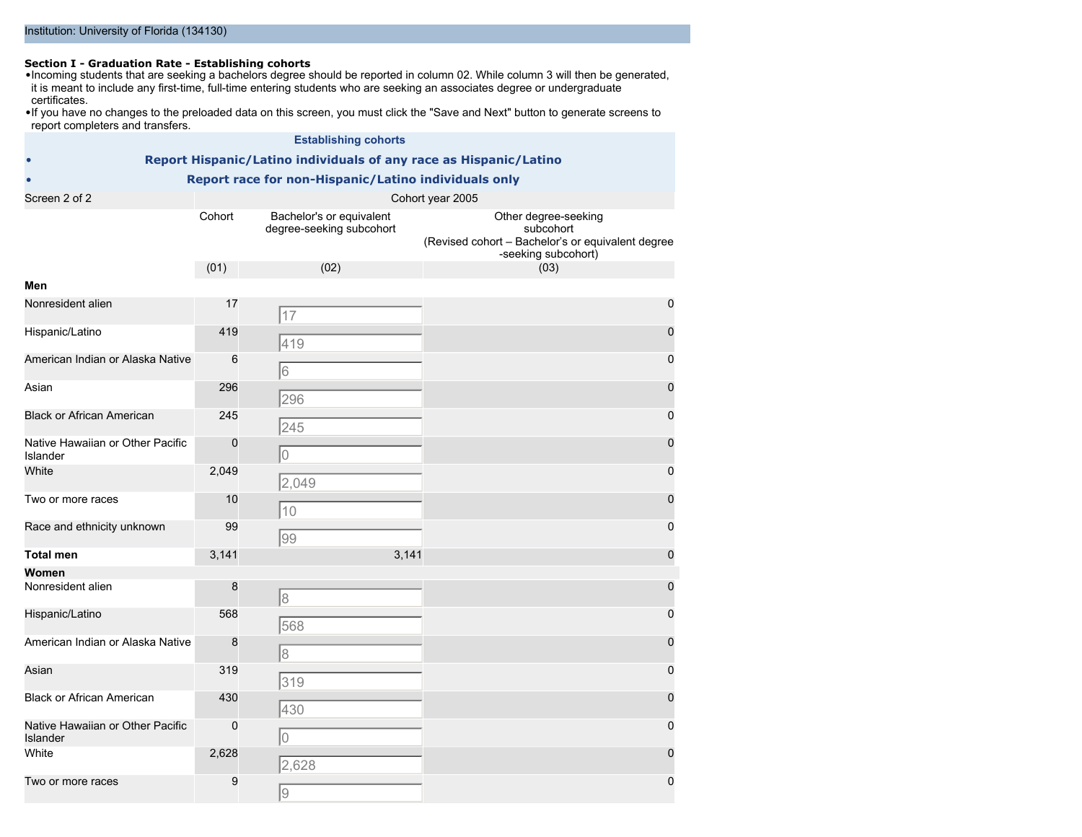#### Institution: University of Florida (134130)

**Section I - Graduation Rate - Establishing cohorts** •Incoming students that are seeking a bachelors degree should be reported in column 02. While column 3 will then be generated, it is meant to include any first-time, full-time entering students who are seeking an associates degree or undergraduate certificates.

•If you have no changes to the preloaded data on this screen, you must click the "Save and Next" button to generate screens to report completers and transfers.

| <b>Establishing cohorts</b>                          |                                                                   |                                                      |                                                                                                               |  |  |  |  |  |
|------------------------------------------------------|-------------------------------------------------------------------|------------------------------------------------------|---------------------------------------------------------------------------------------------------------------|--|--|--|--|--|
|                                                      | Report Hispanic/Latino individuals of any race as Hispanic/Latino |                                                      |                                                                                                               |  |  |  |  |  |
| Report race for non-Hispanic/Latino individuals only |                                                                   |                                                      |                                                                                                               |  |  |  |  |  |
| Screen 2 of 2                                        |                                                                   |                                                      | Cohort year 2005                                                                                              |  |  |  |  |  |
|                                                      | Cohort                                                            | Bachelor's or equivalent<br>degree-seeking subcohort | Other degree-seeking<br>subcohort<br>(Revised cohort - Bachelor's or equivalent degree<br>-seeking subcohort) |  |  |  |  |  |
|                                                      | (01)                                                              | (02)                                                 | (03)                                                                                                          |  |  |  |  |  |
| Men<br>Nonresident alien                             | 17                                                                |                                                      | 0                                                                                                             |  |  |  |  |  |
|                                                      |                                                                   | 17                                                   |                                                                                                               |  |  |  |  |  |
| Hispanic/Latino                                      | 419                                                               | 419                                                  | $\mathbf 0$                                                                                                   |  |  |  |  |  |
| American Indian or Alaska Native                     | 6                                                                 | 6                                                    | 0                                                                                                             |  |  |  |  |  |
| Asian                                                | 296                                                               | 296                                                  | $\mathbf 0$                                                                                                   |  |  |  |  |  |
| <b>Black or African American</b>                     | 245                                                               | 245                                                  | 0                                                                                                             |  |  |  |  |  |
| Native Hawaiian or Other Pacific<br>Islander         | $\mathbf 0$                                                       | $\overline{0}$                                       | $\mathbf 0$                                                                                                   |  |  |  |  |  |
| White                                                | 2,049                                                             | 2,049                                                | 0                                                                                                             |  |  |  |  |  |
| Two or more races                                    | 10                                                                | 10                                                   | $\mathbf 0$                                                                                                   |  |  |  |  |  |
| Race and ethnicity unknown                           | 99                                                                | 99                                                   | 0                                                                                                             |  |  |  |  |  |
| <b>Total men</b>                                     | 3,141                                                             | 3,141                                                | $\mathbf 0$                                                                                                   |  |  |  |  |  |
| Women<br>Nonresident alien                           | 8                                                                 | $\rm 8$                                              | $\mathbf 0$                                                                                                   |  |  |  |  |  |
| Hispanic/Latino                                      | 568                                                               | 568                                                  | 0                                                                                                             |  |  |  |  |  |
| American Indian or Alaska Native                     | 8                                                                 | $\delta$                                             | $\mathbf 0$                                                                                                   |  |  |  |  |  |
| Asian                                                | 319                                                               | 319                                                  | 0                                                                                                             |  |  |  |  |  |
| <b>Black or African American</b>                     | 430                                                               | 430                                                  | 0                                                                                                             |  |  |  |  |  |
| Native Hawaiian or Other Pacific<br>Islander         | $\mathbf 0$                                                       | $\overline{0}$                                       | $\mathbf 0$                                                                                                   |  |  |  |  |  |
| White                                                | 2,628                                                             | 2,628                                                | $\mathbf 0$                                                                                                   |  |  |  |  |  |
| Two or more races                                    | 9                                                                 | $\overline{9}$                                       | $\mathbf 0$                                                                                                   |  |  |  |  |  |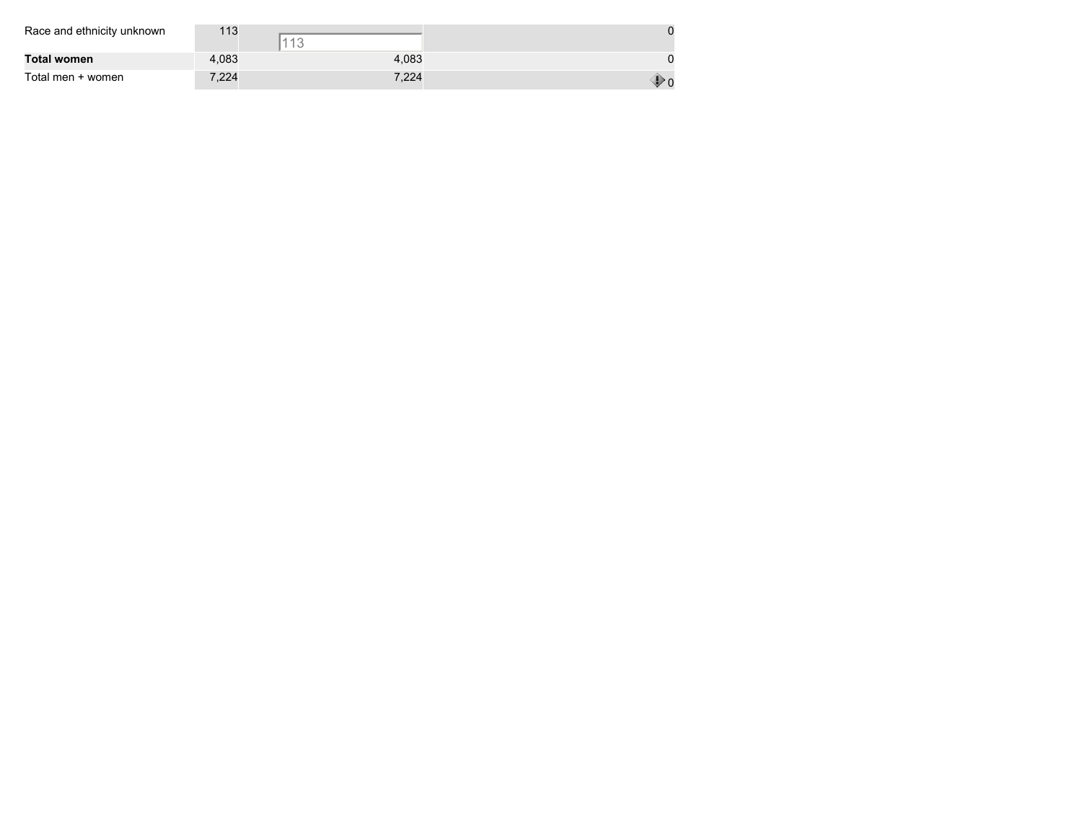| Race and ethnicity unknown | 113   | $440$ |  |
|----------------------------|-------|-------|--|
| Total women                | 4.083 | 4,083 |  |
| Total men + women          | 7,224 | 7,224 |  |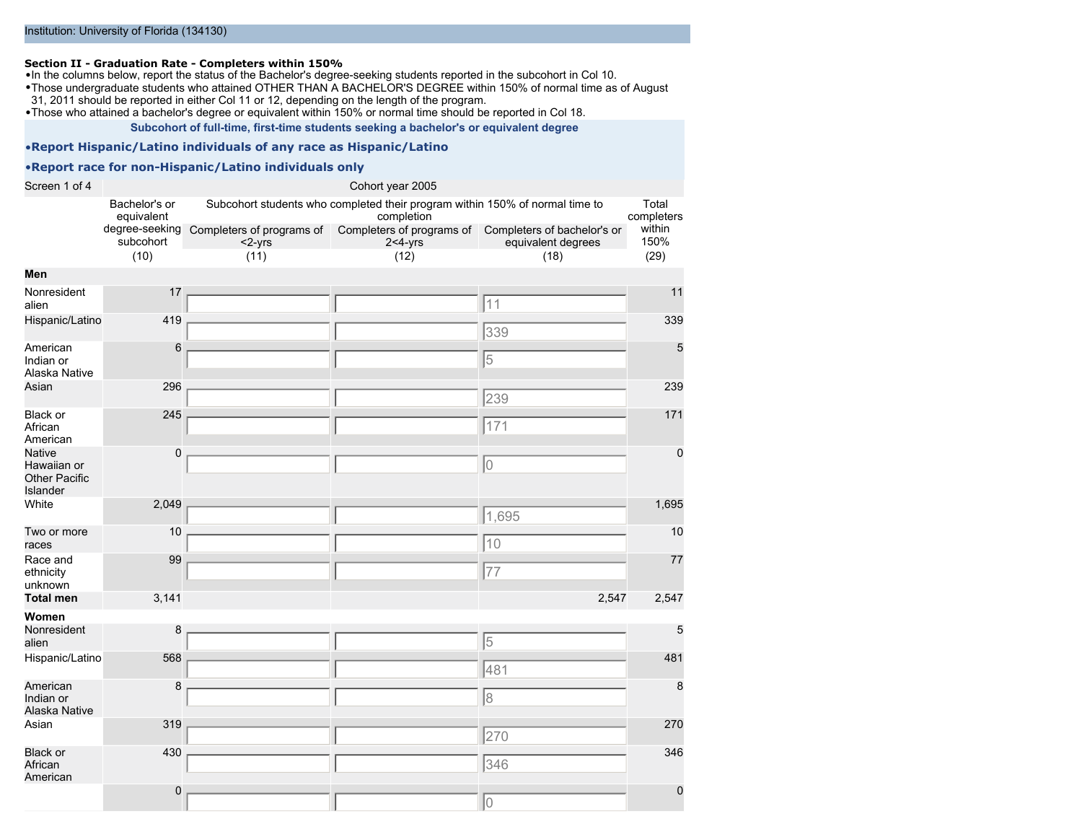#### **Section II - Graduation Rate - Completers within 150%**

•In the columns below, report the status of the Bachelor's degree-seeking students reported in the subcohort in Col 10.

•Those undergraduate students who attained OTHER THAN A BACHELOR'S DEGREE within 150% of normal time as of August 31, 2011 should be reported in either Col 11 or 12, depending on the length of the program.

•Those who attained a bachelor's degree or equivalent within 150% or normal time should be reported in Col 18.

**Subcohort of full-time, first-time students seeking a bachelor's or equivalent degree**

#### •**Report Hispanic/Latino individuals of any race as Hispanic/Latino**

#### •**Report race for non-Hispanic/Latino individuals only**

| Screen 1 of 4                                                    | Cohort year 2005            |                                                                                                          |                                            |                                                   |                |  |
|------------------------------------------------------------------|-----------------------------|----------------------------------------------------------------------------------------------------------|--------------------------------------------|---------------------------------------------------|----------------|--|
|                                                                  | Bachelor's or<br>equivalent | Subcohort students who completed their program within 150% of normal time to<br>completion<br>completers |                                            |                                                   |                |  |
|                                                                  | subcohort                   | degree-seeking Completers of programs of<br>$<$ 2-yrs                                                    | Completers of programs of<br>$2 < 4 - yrs$ | Completers of bachelor's or<br>equivalent degrees | within<br>150% |  |
|                                                                  | (10)                        | (11)                                                                                                     | (12)                                       | (18)                                              | (29)           |  |
| Men                                                              |                             |                                                                                                          |                                            |                                                   |                |  |
| Nonresident<br>alien                                             | 17                          |                                                                                                          |                                            | 11                                                | 11             |  |
| Hispanic/Latino                                                  | 419                         |                                                                                                          |                                            | 339                                               | 339            |  |
| American<br>Indian or<br>Alaska Native                           | 6                           |                                                                                                          |                                            | 5                                                 | 5              |  |
| Asian                                                            | 296                         |                                                                                                          |                                            | 239                                               | 239            |  |
| Black or<br>African<br>American                                  | 245                         |                                                                                                          |                                            | 171                                               | 171            |  |
| <b>Native</b><br>Hawaiian or<br><b>Other Pacific</b><br>Islander | 0                           |                                                                                                          |                                            | 10                                                | $\Omega$       |  |
| White                                                            | 2,049                       |                                                                                                          |                                            | 1,695                                             | 1,695          |  |
| Two or more<br>races                                             | 10                          |                                                                                                          |                                            | 10                                                | 10             |  |
| Race and<br>ethnicity<br>unknown                                 | 99                          |                                                                                                          |                                            | 77                                                | 77             |  |
| <b>Total men</b>                                                 | 3,141                       |                                                                                                          |                                            | 2,547                                             | 2,547          |  |
| Women                                                            |                             |                                                                                                          |                                            |                                                   |                |  |
| Nonresident<br>alien                                             | 8                           |                                                                                                          |                                            | 5                                                 | 5              |  |
| Hispanic/Latino                                                  | 568                         |                                                                                                          |                                            | 481                                               | 481            |  |
| American<br>Indian or<br>Alaska Native                           | 8                           |                                                                                                          |                                            | 8                                                 | 8              |  |
| Asian                                                            | 319                         |                                                                                                          |                                            | 270                                               | 270            |  |
| <b>Black or</b><br>African<br>American                           | 430                         |                                                                                                          |                                            | 346                                               | 346            |  |
|                                                                  | $\mathbf 0$                 |                                                                                                          |                                            | 10                                                | $\mathbf 0$    |  |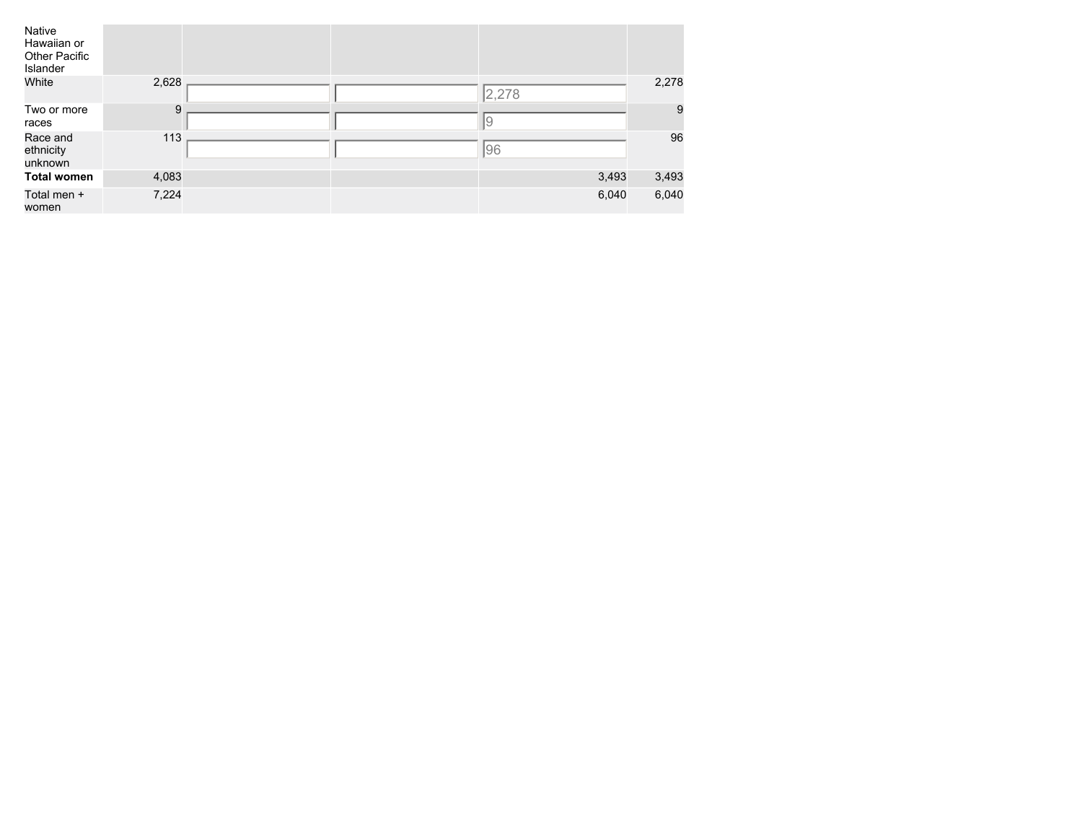| Native<br>Hawaiian or<br>Other Pacific<br>Islander |       |  |       |       |
|----------------------------------------------------|-------|--|-------|-------|
| White                                              | 2,628 |  | 2,278 | 2,278 |
| Two or more<br>races                               | 9     |  | 19    | 9     |
| Race and<br>ethnicity<br>unknown                   | 113   |  | 96    | 96    |
| <b>Total women</b>                                 | 4,083 |  | 3,493 | 3,493 |
| Total men +<br>women                               | 7,224 |  | 6,040 | 6,040 |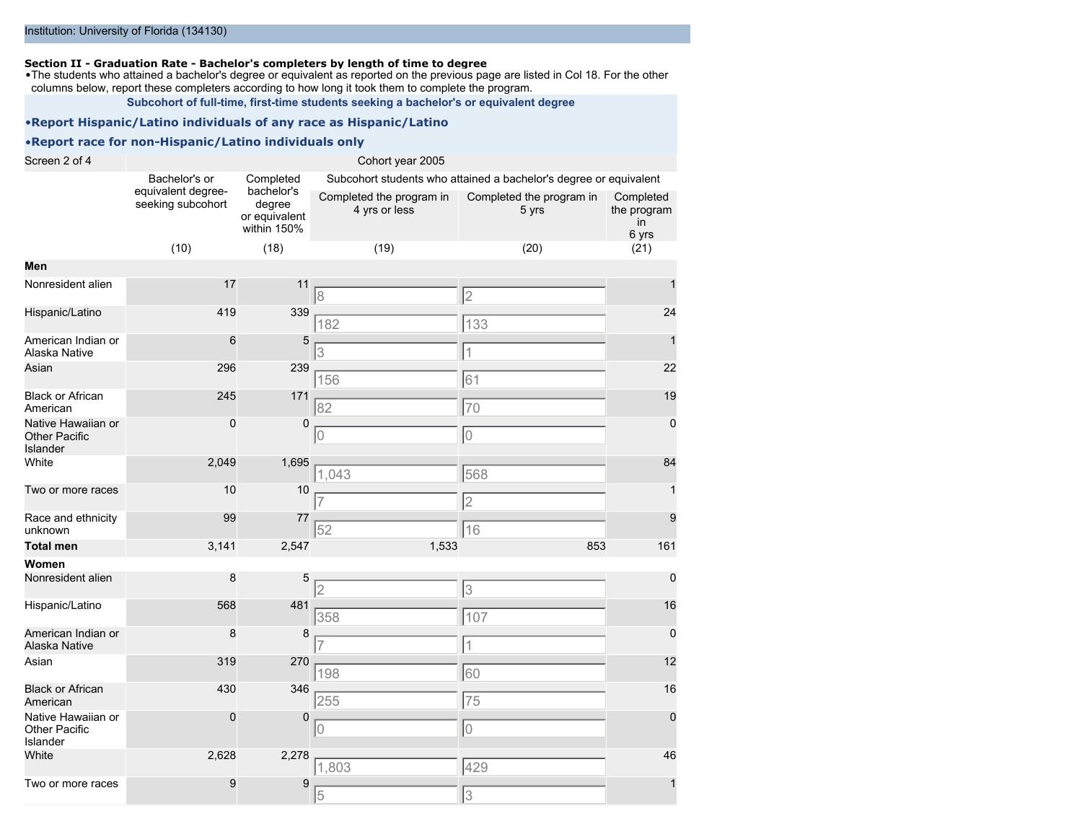#### **Section II - Graduation Rate - Bachelor's completers by length of time to degree**

•The students who attained a bachelor's degree or equivalent as reported on the previous page are listed in Col 18. For the other columns below, report these completers according to how long it took them to complete the program.

**Subcohort of full-time, first-time students seeking a bachelor's or equivalent degree**

#### •**Report Hispanic/Latino individuals of any race as Hispanic/Latino**

#### •**Report race for non-Hispanic/Latino individuals only**

Screen 2 of 4 Cohort year 2005 Bachelor's or equivalent degreeseeking subcohort Completed bachelor's degree or equivalent within 150% Subcohort students who attained a bachelor's degree or equivalent Completed the program in 4 yrs or less Completed the program in 5 yrs Completed the program in 6 yrs (10) (18) (19) (20) (21) **Men** Nonresident alien 17 11 1 Hispanic/Latino 419 339 24 American Indian or Alaska Native 6 5 1 Asian 296 239 22 Black or African American 245 171 19 Native Hawaiian or Other Pacific Islander 0 0 0 White 2,049 1,695 <u>- 2,049 1,695 - 2,049 1,695 1,695 1,695 1,695 1,695 1,695 1,695 1,695 1,695 1,695 1,695 1,6</u> Two or more races  $10 \t 10$   $7$   $2$ Race and ethnicity unknown 99 77 9 **Total men** 3,141 2,547 1,533 853 161 **Women** Nonresident alien  $\begin{array}{c|c} 8 & 5 & \boxed{2} & \boxed{3} & \boxed{3} \end{array}$ Hispanic/Latino 568 481 358 481 358 107 American Indian or Alaska Native 8 8 0 Asian 319 270 12 Black or African American 430 346 16 Native Hawaiian or Other Pacific Islander 0 0 0 White 2,628 2,278 46 Two or more races  $9 \t 9 \t 9$  1 8 2 182 | 133 3 1 156 61 82 70 0 0 0 1,043 568 7 2 52 | 16 2 3 358 || 107 7 1 198 60 255 75 0 0 0 1,803 429

 $5$  3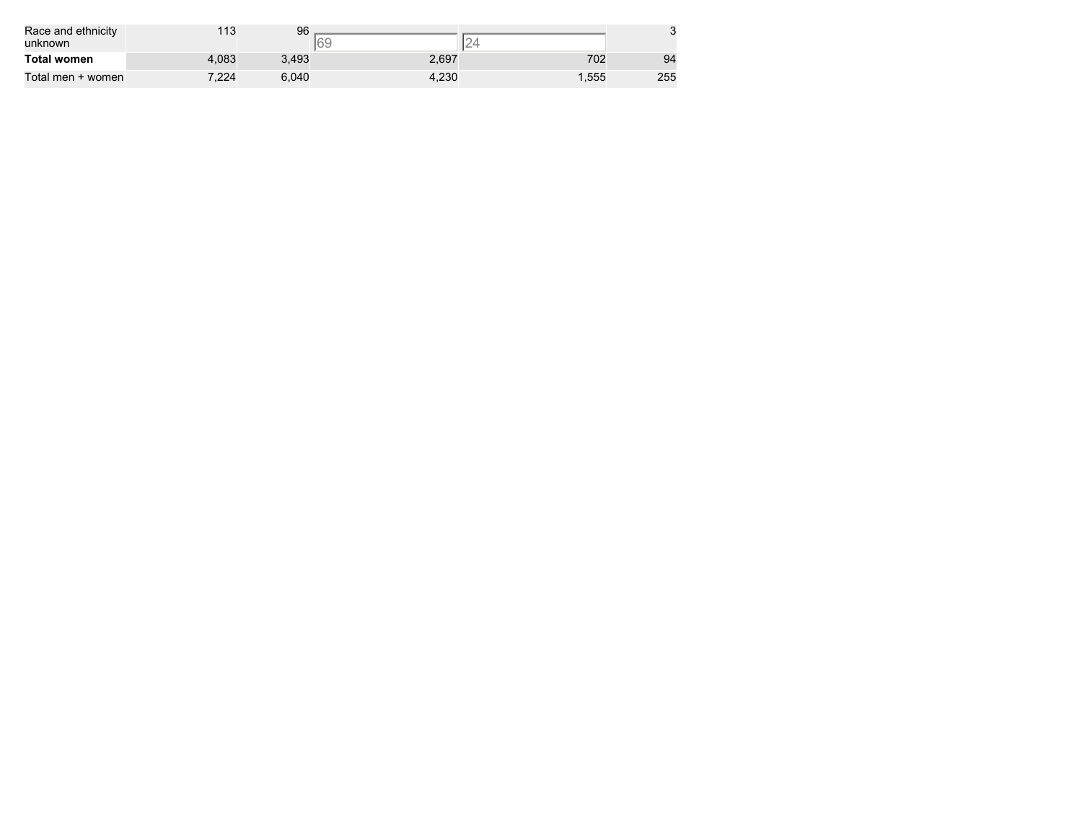| Race and ethnicity<br>unknown | 113   | 96    |       | ∼     |     |
|-------------------------------|-------|-------|-------|-------|-----|
| <b>Total women</b>            | 4.083 | 3.493 | 2,697 | 702   | 94  |
| Total men + women             | 7.224 | 6.040 | 4.230 | '.555 | 255 |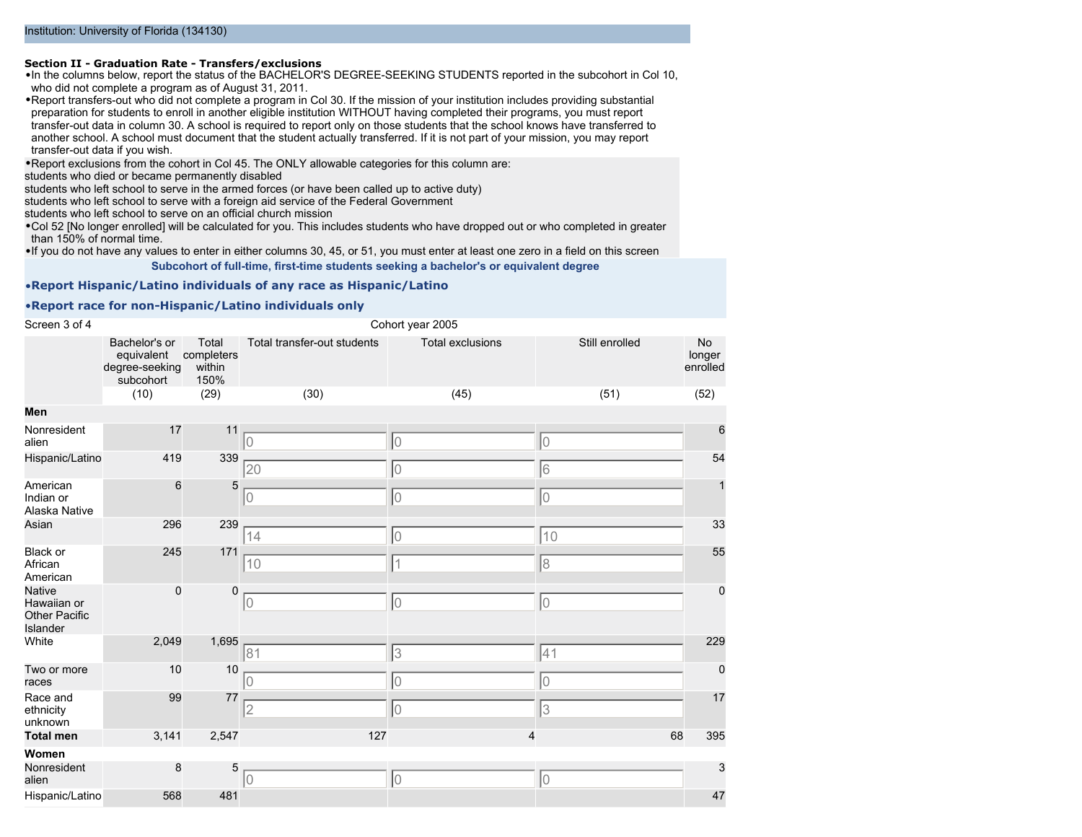#### **Section II - Graduation Rate - Transfers/exclusions**

•In the columns below, report the status of the BACHELOR'S DEGREE-SEEKING STUDENTS reported in the subcohort in Col 10, who did not complete a program as of August 31, 2011.

•Report transfers-out who did not complete a program in Col 30. If the mission of your institution includes providing substantial preparation for students to enroll in another eligible institution WITHOUT having completed their programs, you must report transfer-out data in column 30. A school is required to report only on those students that the school knows have transferred to another school. A school must document that the student actually transferred. If it is not part of your mission, you may report transfer-out data if you wish.

•Report exclusions from the cohort in Col 45. The ONLY allowable categories for this column are:

students who died or became permanently disabled

students who left school to serve in the armed forces (or have been called up to active duty)

students who left school to serve with a foreign aid service of the Federal Government

students who left school to serve on an official church mission

•Col 52 [No longer enrolled] will be calculated for you. This includes students who have dropped out or who completed in greater than 150% of normal time.

•If you do not have any values to enter in either columns 30, 45, or 51, you must enter at least one zero in a field on this screen **Subcohort of full-time, first-time students seeking a bachelor's or equivalent degree**

#### •**Report Hispanic/Latino individuals of any race as Hispanic/Latino**

#### •**Report race for non-Hispanic/Latino individuals only**

| Screen 3 of 4                                                    | Cohort year 2005                                           |                                       |                             |                         |                |                          |
|------------------------------------------------------------------|------------------------------------------------------------|---------------------------------------|-----------------------------|-------------------------|----------------|--------------------------|
|                                                                  | Bachelor's or<br>equivalent<br>degree-seeking<br>subcohort | Total<br>completers<br>within<br>150% | Total transfer-out students | <b>Total exclusions</b> | Still enrolled | No<br>longer<br>enrolled |
|                                                                  | (10)                                                       | (29)                                  | (30)                        | (45)                    | (51)           | (52)                     |
| Men                                                              |                                                            |                                       |                             |                         |                |                          |
| Nonresident<br>alien                                             | 17                                                         | 11                                    | lO                          | 10                      | lo             | 6                        |
| Hispanic/Latino                                                  | 419                                                        | 339                                   | 20                          | $\mathbf 0$             | 6              | 54                       |
| American<br>Indian or<br>Alaska Native                           | 6                                                          | 5                                     | 10                          | $\overline{0}$          | 10             | $\mathbf{1}$             |
| Asian                                                            | 296                                                        | 239                                   | 14                          | 0                       | 10             | 33                       |
| Black or<br>African<br>American                                  | 245                                                        | 171                                   | 10                          | 1                       | 8              | 55                       |
| <b>Native</b><br>Hawaiian or<br><b>Other Pacific</b><br>Islander | $\mathbf 0$                                                | $\pmb{0}$                             | 10                          | 0                       | 10             | $\mathbf 0$              |
| White                                                            | 2,049                                                      | 1,695                                 | 81                          | 3                       | 41             | 229                      |
| Two or more<br>races                                             | 10                                                         | 10                                    |                             | $\overline{0}$          | 10             | $\mathbf 0$              |
| Race and<br>ethnicity<br>unknown                                 | 99                                                         | 77                                    | 2                           | 0                       | 3              | 17                       |
| <b>Total men</b>                                                 | 3,141                                                      | 2,547                                 | 127                         | 4                       | 68             | 395                      |
| Women<br>Nonresident<br>alien                                    | 8                                                          | 5                                     | 10                          | 0                       | 10             | 3                        |
| Hispanic/Latino                                                  | 568                                                        | 481                                   |                             |                         |                | 47                       |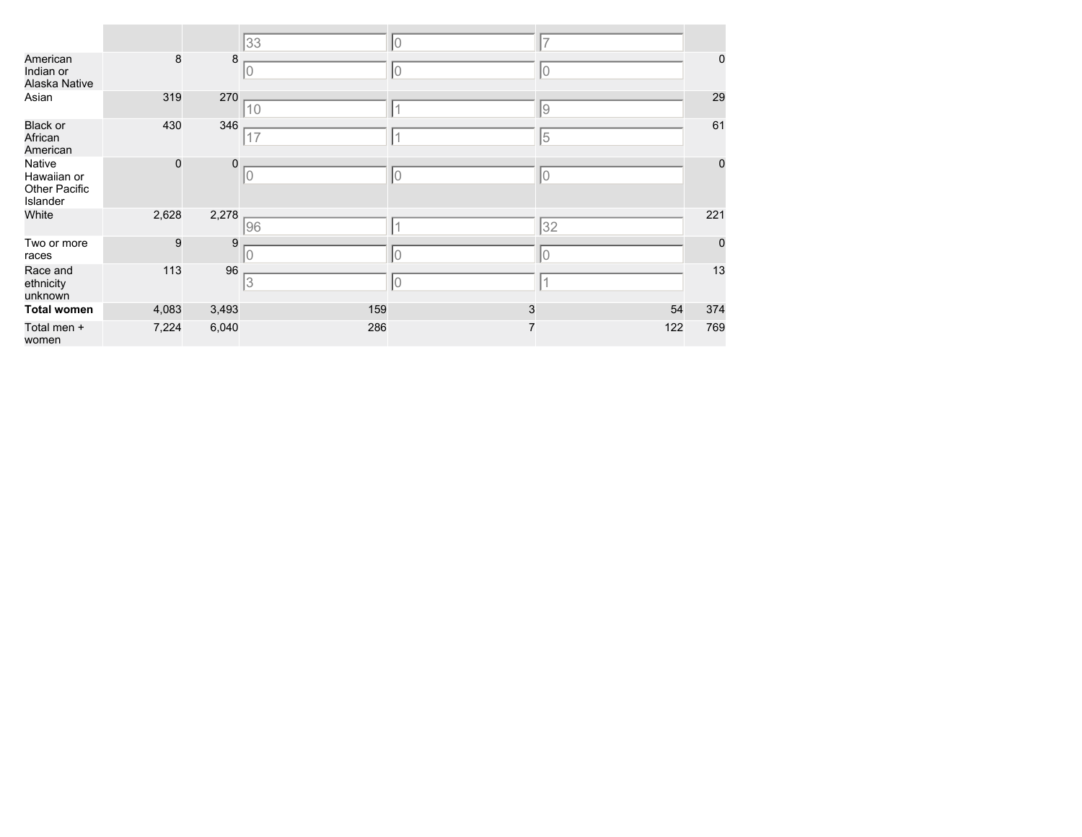|                                                           |             |             | 33  | 10             | ⇁   |             |
|-----------------------------------------------------------|-------------|-------------|-----|----------------|-----|-------------|
| American<br>Indian or<br>Alaska Native                    | $\bf8$      | 8           | 10  | 0              | 0   | $\pmb{0}$   |
| Asian                                                     | 319         | 270         | 10  |                | 9   | 29          |
| <b>Black or</b><br>African<br>American                    | 430         | 346         | 17  |                | 5   | 61          |
| Native<br>Hawaiian or<br><b>Other Pacific</b><br>Islander | $\mathbf 0$ | $\mathbf 0$ | 10  | 10             | 10  | $\pmb{0}$   |
| White                                                     | 2,628       | 2,278       | 96  |                | 32  | 221         |
| Two or more<br>races                                      | 9           | 9           |     | $\Omega$       | 0   | $\mathbf 0$ |
| Race and<br>ethnicity<br>unknown                          | 113         | 96          | 13  | 10             |     | 13          |
| <b>Total women</b>                                        | 4,083       | 3,493       | 159 | 3              | 54  | 374         |
| Total men +<br>women                                      | 7,224       | 6,040       | 286 | $\overline{7}$ | 122 | 769         |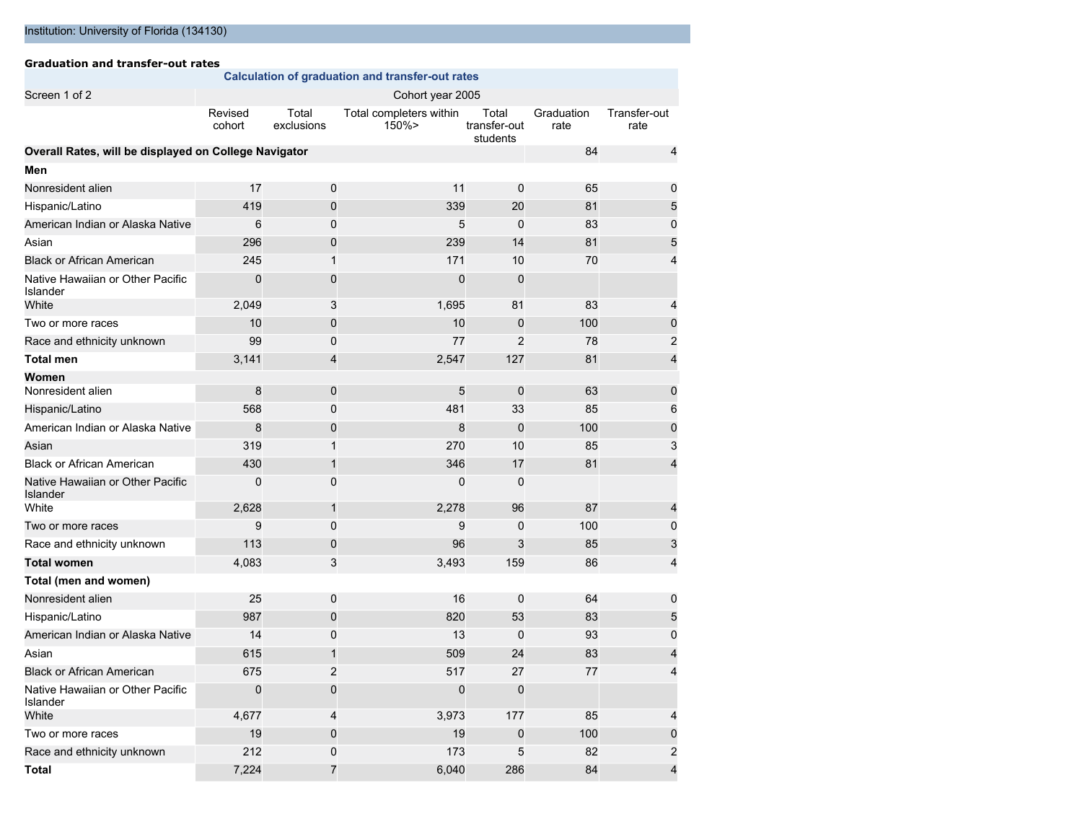#### **Graduation and transfer-out rates Calculation of graduation and transfer-out rates** Screen 1 of 2 Cohort year 2005 Revised cohort Total exclusions Total completers within 150%> Total transfer-out students Graduation rate Transfer-out rate **Overall Rates, will be displayed on College Navigator** 84 4 **Men** Nonresident alien 17 17 10 11 0 65 0 0 11 1 0 1 1 0 1 1 0 1 1 0 1 1 0 1 1 1 1 1 0 1 1 1 1 1 1 1 1 1 1 1 1 1 1 1 Hispanic/Latino **19 31 120 339 20 81** 5 American Indian or Alaska Native 6 0 0 5 0 83 0 0 1 0 1 0 1 1 0 1 0 1 1 0 1 0 1 1 0 1 0 1 0 1 0 1 0 1 0 1 0 1 0 Asian 296 0 239 14 81 5 Black or African American **245** 1 171 10 70 4 Native Hawaiian or Other Pacific Islander 0 0 0 0 White 2,049 3 1,695 81 83 4 Two or more races **10** 10 0 10 10 10 10 100 0 100 0 100 0 100 0 0 100 0 0 100 0 100 0 100 0 100 0 100 0 100 0 100 100 100 100 100 100 100 100 100 100 100 100 100 100 100 100 100 100 100 100 100 100 100 100 100 100 100 100 Race and ethnicity unknown 99 0 0 77 2 78 2 **Total men** 3,141 4 2,547 127 81 4 **Women** Nonresident alien 10 million by the state of the state of the state of the state of the state of the state of the state of the state of the state of the state of the state of the state of the state of the state of the stat Hispanic/Latino 568 0 481 33 85 6 American Indian or Alaska Native 8 0 0 100 0 0 0 100 0 0 0 0 100 0 0 0 100 0 0 100 0 0 100 0 0 100 0 100 0 100 Asian 319 1 270 10 85 3 Black or African American **430** 1 346 17 81 4 Native Hawaiian or Other Pacific Islander 0 0 0 0 White 2,628 1 2,278 96 87 4 Two or more races 9 0 9 0 100 0 Race and ethnicity unknown 113 0 96 3 85 3 **Total women** 4,083 3 3,493 159 86 4 **Total (men and women)** Nonresident alien 10 16 0 16 0 64 0 16 0 64 0 16 0 16 16 17 18 18 19 19 19 10 11 11 12 12 13 14 15 16 17 17 17 1 Hispanic/Latino 887 987 0 820 53 83 5 American Indian or Alaska Native 14 0 13 0 93 0 Asian 615 1 509 24 83 4 Black or African American **675** 2 517 27 77 4 Native Hawaiian or Other Pacific Islander<br>White 0 0 0 0 White 4,677 4 3,973 177 85 4 Two or more races **19 0 19 19 100 100** 0 19 0 100 100 0 100 0 100 0 100 100 0 100 100 100 100 100 100 100 100 100 100 100 100 100 100 100 100 100 100 100 100 100 100 100 100 100 100 100 100 100 100 100 100 100 100 100 100 Race and ethnicity unknown 212 0 173 5 82 2

**Total** 7,224 7 6,040 286 84 4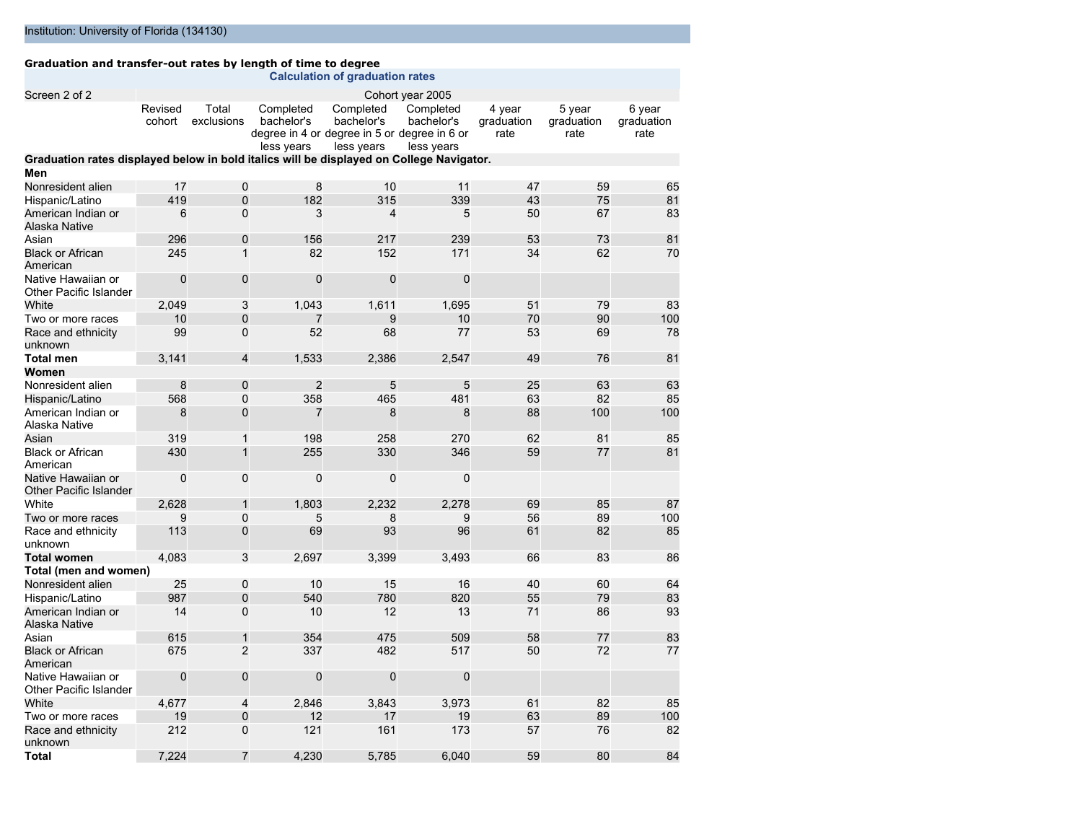#### **Graduation and transfer-out rates by length of time to degree**

|                                                                                          |                   |                         |                                                                                       | <b>Calculation of graduation rates</b> |                                       |                              |                              |                              |
|------------------------------------------------------------------------------------------|-------------------|-------------------------|---------------------------------------------------------------------------------------|----------------------------------------|---------------------------------------|------------------------------|------------------------------|------------------------------|
| Screen 2 of 2                                                                            |                   |                         |                                                                                       |                                        | Cohort year 2005                      |                              |                              |                              |
|                                                                                          | Revised<br>cohort | Total<br>exclusions     | Completed<br>bachelor's<br>degree in 4 or degree in 5 or degree in 6 or<br>less years | Completed<br>bachelor's<br>less years  | Completed<br>bachelor's<br>less years | 4 year<br>graduation<br>rate | 5 year<br>graduation<br>rate | 6 year<br>graduation<br>rate |
| Graduation rates displayed below in bold italics will be displayed on College Navigator. |                   |                         |                                                                                       |                                        |                                       |                              |                              |                              |
| Men                                                                                      |                   |                         |                                                                                       |                                        |                                       |                              |                              |                              |
| Nonresident alien                                                                        | 17                | 0                       | 8                                                                                     | 10                                     | 11                                    | 47                           | 59                           | 65                           |
| Hispanic/Latino                                                                          | 419               | $\overline{0}$          | 182                                                                                   | 315                                    | 339                                   | 43                           | 75                           | 81                           |
| American Indian or<br>Alaska Native                                                      | 6                 | $\mathbf 0$             | 3                                                                                     | 4                                      | 5                                     | 50                           | 67                           | 83                           |
| Asian                                                                                    | 296               | $\pmb{0}$               | 156                                                                                   | 217                                    | 239                                   | 53                           | 73                           | 81                           |
| <b>Black or African</b><br>American                                                      | 245               | $\mathbf{1}$            | 82                                                                                    | 152                                    | 171                                   | 34                           | 62                           | 70                           |
| Native Hawaiian or<br>Other Pacific Islander                                             | $\mathbf 0$       | $\mathbf 0$             | $\mathbf 0$                                                                           | $\mathbf 0$                            | $\mathbf 0$                           |                              |                              |                              |
| White                                                                                    | 2,049             | 3                       | 1,043                                                                                 | 1,611                                  | 1,695                                 | 51                           | 79                           | 83                           |
| Two or more races                                                                        | 10                | $\overline{0}$          | 7                                                                                     | 9                                      | 10                                    | 70                           | 90                           | 100                          |
| Race and ethnicity<br>unknown                                                            | 99                | $\mathbf 0$             | 52                                                                                    | 68                                     | 77                                    | 53                           | 69                           | 78                           |
| <b>Total men</b>                                                                         | 3,141             | $\overline{\mathbf{4}}$ | 1,533                                                                                 | 2,386                                  | 2,547                                 | 49                           | 76                           | 81                           |
| Women                                                                                    |                   |                         |                                                                                       |                                        |                                       |                              |                              |                              |
| Nonresident alien                                                                        | 8                 | 0                       | $\overline{2}$                                                                        | 5                                      | 5                                     | 25                           | 63                           | 63                           |
| Hispanic/Latino                                                                          | 568               | 0                       | 358                                                                                   | 465                                    | 481                                   | 63                           | 82                           | 85                           |
| American Indian or<br>Alaska Native                                                      | 8                 | 0                       | 7                                                                                     | 8                                      | 8                                     | 88                           | 100                          | 100                          |
| Asian                                                                                    | 319               | $\mathbf{1}$            | 198                                                                                   | 258                                    | 270                                   | 62                           | 81                           | 85                           |
| <b>Black or African</b><br>American                                                      | 430               | $\mathbf{1}$            | 255                                                                                   | 330                                    | 346                                   | 59                           | 77                           | 81                           |
| Native Hawaiian or<br>Other Pacific Islander                                             | $\Omega$          | 0                       | $\Omega$                                                                              | 0                                      | $\mathbf 0$                           |                              |                              |                              |
| White                                                                                    | 2,628             | $\mathbf{1}$            | 1.803                                                                                 | 2,232                                  | 2,278                                 | 69                           | 85                           | 87                           |
| Two or more races                                                                        | 9                 | 0                       | 5                                                                                     | 8                                      | 9                                     | 56                           | 89                           | 100                          |
| Race and ethnicity<br>unknown                                                            | 113               | $\mathbf 0$             | 69                                                                                    | 93                                     | 96                                    | 61                           | 82                           | 85                           |
| <b>Total women</b>                                                                       | 4.083             | 3                       | 2.697                                                                                 | 3.399                                  | 3.493                                 | 66                           | 83                           | 86                           |
| Total (men and women)                                                                    |                   |                         |                                                                                       |                                        |                                       |                              |                              |                              |
| Nonresident alien                                                                        | 25                | 0                       | 10                                                                                    | 15                                     | 16                                    | 40                           | 60                           | 64                           |
| Hispanic/Latino                                                                          | 987               | $\overline{0}$          | 540                                                                                   | 780                                    | 820                                   | 55                           | 79                           | 83                           |
| American Indian or<br>Alaska Native                                                      | 14                | $\overline{0}$          | 10                                                                                    | 12                                     | 13                                    | 71                           | 86                           | 93                           |
| Asian                                                                                    | 615               | $\mathbf{1}$            | 354                                                                                   | 475                                    | 509                                   | 58                           | 77                           | 83                           |
| <b>Black or African</b><br>American                                                      | 675               | $\overline{2}$          | 337                                                                                   | 482                                    | 517                                   | 50                           | 72                           | 77                           |
| Native Hawaiian or<br>Other Pacific Islander                                             | $\mathbf 0$       | $\mathbf 0$             | $\Omega$                                                                              | $\mathbf 0$                            | $\mathbf 0$                           |                              |                              |                              |
| White                                                                                    | 4,677             | 4                       | 2,846                                                                                 | 3,843                                  | 3,973                                 | 61                           | 82                           | 85                           |
| Two or more races                                                                        | 19                | 0                       | 12                                                                                    | 17                                     | 19                                    | 63                           | 89                           | 100                          |
| Race and ethnicity<br>unknown                                                            | 212               | $\Omega$                | 121                                                                                   | 161                                    | 173                                   | 57                           | 76                           | 82                           |
| <b>Total</b>                                                                             | 7.224             | $\overline{7}$          | 4.230                                                                                 | 5.785                                  | 6.040                                 | 59                           | 80                           | 84                           |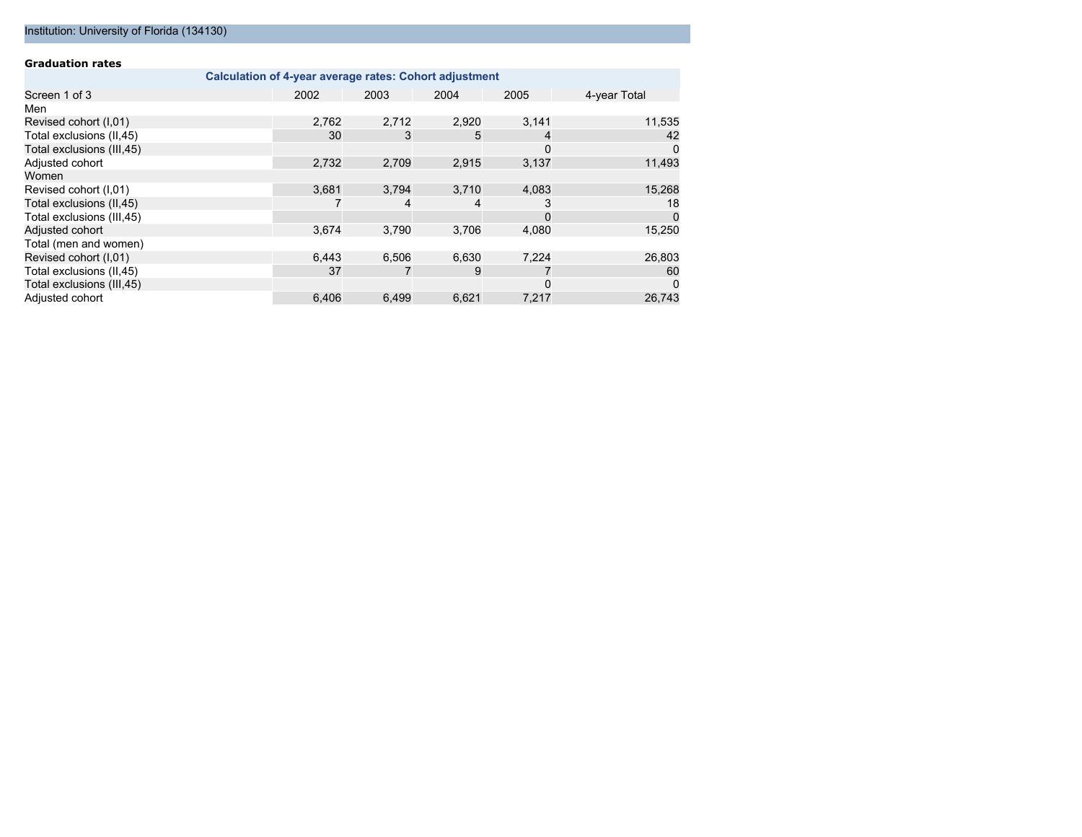#### Institution: University of Florida (134130)

| <b>Graduation rates</b>                                |       |       |       |       |              |  |  |  |
|--------------------------------------------------------|-------|-------|-------|-------|--------------|--|--|--|
| Calculation of 4-year average rates: Cohort adjustment |       |       |       |       |              |  |  |  |
| Screen 1 of 3                                          | 2002  | 2003  | 2004  | 2005  | 4-year Total |  |  |  |
| Men                                                    |       |       |       |       |              |  |  |  |
| Revised cohort (I,01)                                  | 2,762 | 2,712 | 2,920 | 3,141 | 11,535       |  |  |  |
| Total exclusions (II,45)                               | 30    | 3     | 5     | 4     | 42           |  |  |  |
| Total exclusions (III, 45)                             |       |       |       | 0     | 0            |  |  |  |
| Adjusted cohort                                        | 2,732 | 2.709 | 2,915 | 3,137 | 11,493       |  |  |  |
| Women                                                  |       |       |       |       |              |  |  |  |
| Revised cohort (I,01)                                  | 3,681 | 3,794 | 3,710 | 4,083 | 15,268       |  |  |  |
| Total exclusions (II,45)                               |       | 4     | 4     | 3     | 18           |  |  |  |
| Total exclusions (III, 45)                             |       |       |       | 0     | $\Omega$     |  |  |  |
| Adjusted cohort                                        | 3,674 | 3,790 | 3,706 | 4,080 | 15,250       |  |  |  |
| Total (men and women)                                  |       |       |       |       |              |  |  |  |
| Revised cohort (I,01)                                  | 6,443 | 6,506 | 6,630 | 7,224 | 26,803       |  |  |  |
| Total exclusions (II,45)                               | 37    |       | 9     |       | 60           |  |  |  |
| Total exclusions (III, 45)                             |       |       |       | 0     | 0            |  |  |  |
| Adjusted cohort                                        | 6.406 | 6.499 | 6.621 | 7.217 | 26.743       |  |  |  |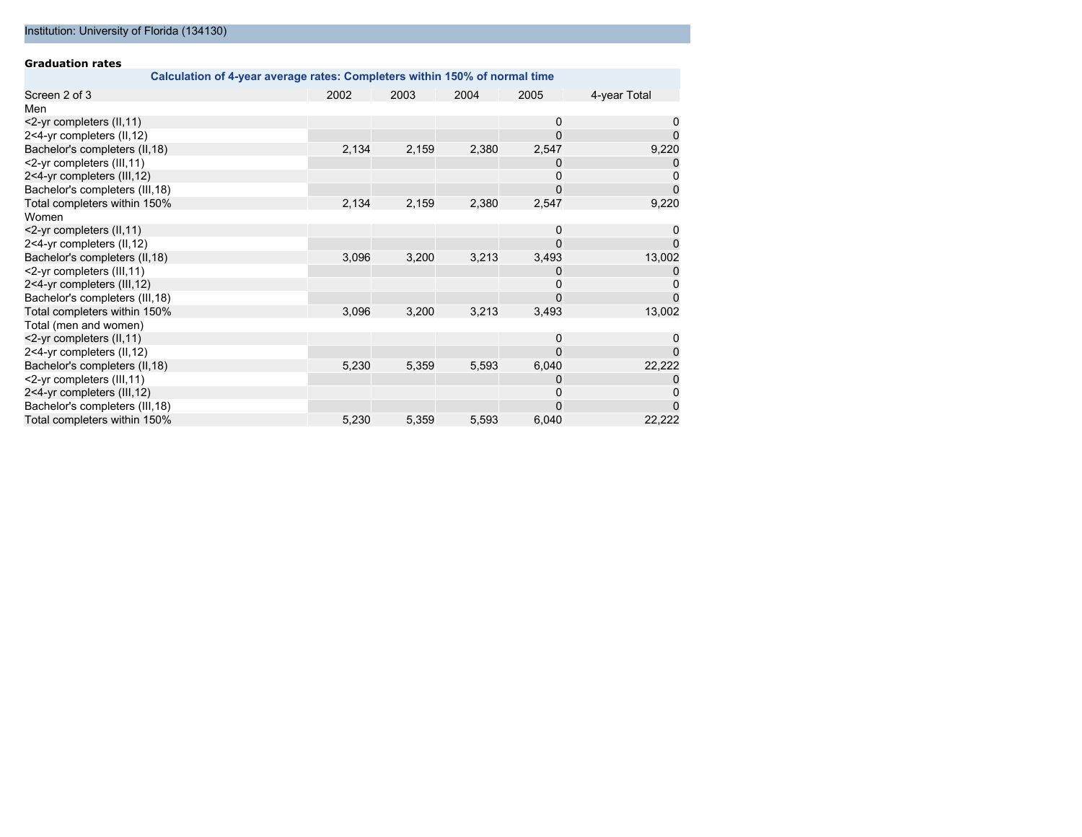| <b>Graduation rates</b>         |                                                                            |       |       |          |              |
|---------------------------------|----------------------------------------------------------------------------|-------|-------|----------|--------------|
|                                 | Calculation of 4-year average rates: Completers within 150% of normal time |       |       |          |              |
| Screen 2 of 3                   | 2002                                                                       | 2003  | 2004  | 2005     | 4-year Total |
| Men                             |                                                                            |       |       |          |              |
| <2-yr completers (II, 11)       |                                                                            |       |       | 0        | 0            |
| 2<4-yr completers (II,12)       |                                                                            |       |       |          |              |
| Bachelor's completers (II, 18)  | 2,134                                                                      | 2,159 | 2,380 | 2,547    | 9,220        |
| <2-yr completers (III, 11)      |                                                                            |       |       | 0        |              |
| 2<4-yr completers (III,12)      |                                                                            |       |       | 0        | 0            |
| Bachelor's completers (III, 18) |                                                                            |       |       |          |              |
| Total completers within 150%    | 2,134                                                                      | 2,159 | 2,380 | 2,547    | 9,220        |
| Women                           |                                                                            |       |       |          |              |
| <2-yr completers (II, 11)       |                                                                            |       |       | 0        | 0            |
| 2<4-yr completers (II,12)       |                                                                            |       |       |          | 0            |
| Bachelor's completers (II, 18)  | 3,096                                                                      | 3,200 | 3,213 | 3,493    | 13,002       |
| <2-yr completers (III,11)       |                                                                            |       |       | O        |              |
| 2<4-yr completers (III,12)      |                                                                            |       |       |          |              |
| Bachelor's completers (III, 18) |                                                                            |       |       |          |              |
| Total completers within 150%    | 3,096                                                                      | 3,200 | 3,213 | 3,493    | 13,002       |
| Total (men and women)           |                                                                            |       |       |          |              |
| <2-yr completers (II, 11)       |                                                                            |       |       | $\Omega$ |              |
| 2<4-yr completers (II,12)       |                                                                            |       |       | $\Omega$ |              |
| Bachelor's completers (II, 18)  | 5,230                                                                      | 5,359 | 5,593 | 6,040    | 22,222       |
| <2-yr completers (III,11)       |                                                                            |       |       | O        |              |
| 2<4-yr completers (III,12)      |                                                                            |       |       |          |              |
| Bachelor's completers (III, 18) |                                                                            |       |       | $\Omega$ |              |
| Total completers within 150%    | 5,230                                                                      | 5,359 | 5,593 | 6,040    | 22,222       |

#### Institution: University of Florida (134130)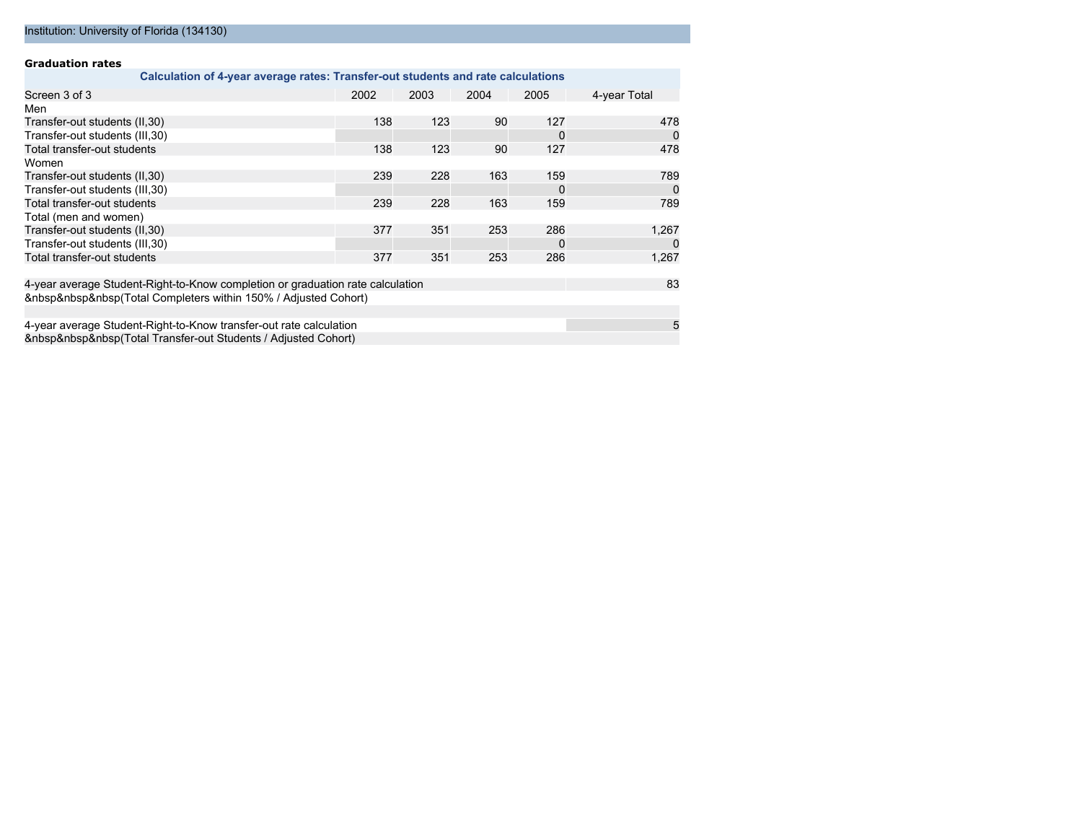#### **Graduation rates**

| Calculation of 4-year average rates: Transfer-out students and rate calculations |      |      |      |          |              |
|----------------------------------------------------------------------------------|------|------|------|----------|--------------|
| Screen 3 of 3                                                                    | 2002 | 2003 | 2004 | 2005     | 4-year Total |
| Men                                                                              |      |      |      |          |              |
| Transfer-out students (II,30)                                                    | 138  | 123  | 90   | 127      | 478          |
| Transfer-out students (III, 30)                                                  |      |      |      | $\Omega$ | 0            |
| Total transfer-out students                                                      | 138  | 123  | 90   | 127      | 478          |
| Women                                                                            |      |      |      |          |              |
| Transfer-out students (II,30)                                                    | 239  | 228  | 163  | 159      | 789          |
| Transfer-out students (III, 30)                                                  |      |      |      | $\Omega$ | 0            |
| Total transfer-out students                                                      | 239  | 228  | 163  | 159      | 789          |
| Total (men and women)                                                            |      |      |      |          |              |
| Transfer-out students (II, 30)                                                   | 377  | 351  | 253  | 286      | 1,267        |
| Transfer-out students (III, 30)                                                  |      |      |      | $\Omega$ | 0            |
| Total transfer-out students                                                      | 377  | 351  | 253  | 286      | 1,267        |
| 4-year average Student-Right-to-Know completion or graduation rate calculation   |      |      |      |          | 83           |
| (Total Completers within 150% / Adjusted Cohort)                                 |      |      |      |          |              |
|                                                                                  |      |      |      |          |              |
| 4-year average Student-Right-to-Know transfer-out rate calculation               |      |      |      |          | 5            |
| (Total Transfer-out Students / Adjusted Cohort)                                  |      |      |      |          |              |